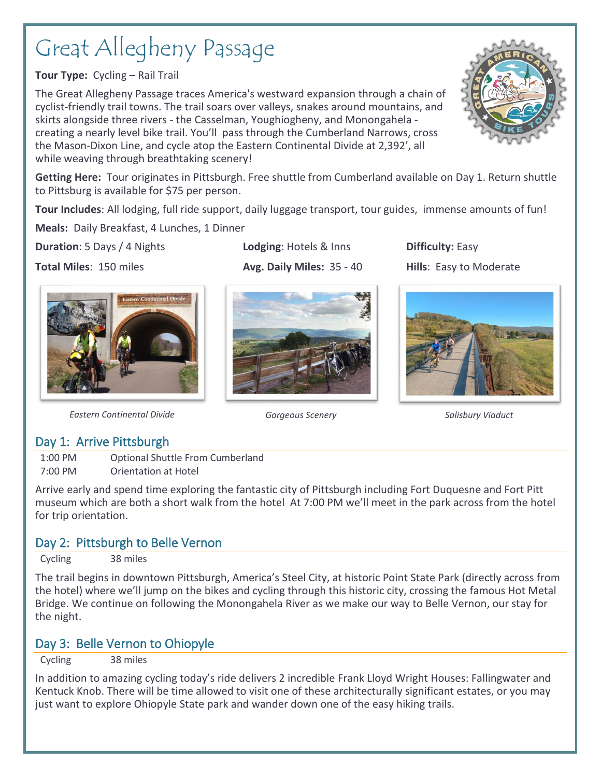# Great Allegheny Passage

**Tour Type:** Cycling – Rail Trail

The Great Allegheny Passage traces America's westward expansion through a chain of cyclist-friendly trail towns. The trail soars over valleys, snakes around mountains, and skirts alongside three rivers - the Casselman, Youghiogheny, and Monongahela creating a nearly level bike trail. You'll pass through the Cumberland Narrows, cross the Mason-Dixon Line, and cycle atop the Eastern Continental Divide at 2,392', all while weaving through breathtaking scenery!

**Getting Here:** Tour originates in Pittsburgh. Free shuttle from Cumberland available on Day 1. Return shuttle to Pittsburg is available for \$75 per person.

**Tour Includes**: All lodging, full ride support, daily luggage transport, tour guides, immense amounts of fun!

**Meals:** Daily Breakfast, 4 Lunches, 1 Dinner

**Duration**: 5 Days / 4 Nights. **Lodging**: Hotels & Inns **Difficulty:** Easy

**Total Miles**: 150 miles **Avg. Daily Miles: 35 - 40 Hills**: Easy to Moderate



*Eastern Continental Divide Gorgeous Scenery Salisbury Viaduct*

### Day 1: Arrive Pittsburgh

1:00 PM Optional Shuttle From Cumberland 7:00 PM Orientation at Hotel

Arrive early and spend time exploring the fantastic city of Pittsburgh including Fort Duquesne and Fort Pitt museum which are both a short walk from the hotel At 7:00 PM we'll meet in the park across from the hotel for trip orientation.

# Day 2: Pittsburgh to Belle Vernon

Cycling 38 miles

The trail begins in downtown Pittsburgh, America's Steel City, at historic Point State Park (directly across from the hotel) where we'll jump on the bikes and cycling through this historic city, crossing the famous Hot Metal Bridge. We continue on following the Monongahela River as we make our way to Belle Vernon, our stay for the night.

# Day 3: Belle Vernon to Ohiopyle

Cycling 38 miles

In addition to amazing cycling today's ride delivers 2 incredible Frank Lloyd Wright Houses: Fallingwater and Kentuck Knob. There will be time allowed to visit one of these architecturally significant estates, or you may just want to explore Ohiopyle State park and wander down one of the easy hiking trails.